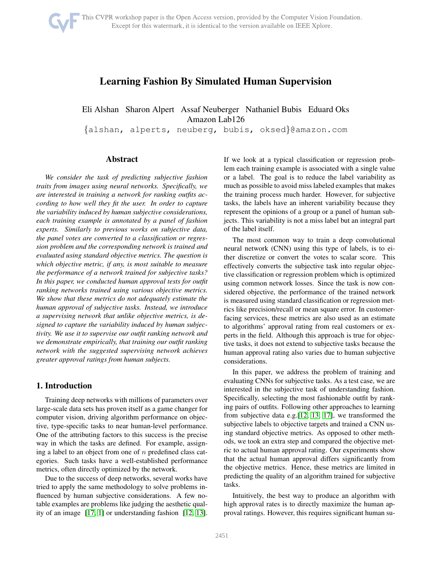# Learning Fashion By Simulated Human Supervision

Eli Alshan Sharon Alpert Assaf Neuberger Nathaniel Bubis Eduard Oks Amazon Lab126

{alshan, alperts, neuberg, bubis, oksed}@amazon.com

# Abstract

*We consider the task of predicting subjective fashion traits from images using neural networks. Specifically, we are interested in training a network for ranking outfits according to how well they fit the user. In order to capture the variability induced by human subjective considerations, each training example is annotated by a panel of fashion experts. Similarly to previous works on subjective data, the panel votes are converted to a classification or regression problem and the corresponding network is trained and evaluated using standard objective metrics. The question is which objective metric, if any, is most suitable to measure the performance of a network trained for subjective tasks? In this paper, we conducted human approval tests for outfit ranking networks trained using various objective metrics. We show that these metrics do not adequately estimate the human approval of subjective tasks. Instead, we introduce a supervising network that unlike objective metrics, is designed to capture the variability induced by human subjectivity. We use it to supervise our outfit ranking network and we demonstrate empirically, that training our outfit ranking network with the suggested supervising network achieves greater approval ratings from human subjects.*

# 1. Introduction

Training deep networks with millions of parameters over large-scale data sets has proven itself as a game changer for computer vision, driving algorithm performance on objective, type-specific tasks to near human-level performance. One of the attributing factors to this success is the precise way in which the tasks are defined. For example, assigning a label to an object from one of  $n$  predefined class categories. Such tasks have a well-established performance metrics, often directly optimized by the network.

Due to the success of deep networks, several works have tried to apply the same methodology to solve problems influenced by human subjective considerations. A few notable examples are problems like judging the aesthetic quality of an image [\[17,](#page-6-0) [1\]](#page-5-0) or understanding fashion [\[12,](#page-6-1) [13\]](#page-6-2). If we look at a typical classification or regression problem each training example is associated with a single value or a label. The goal is to reduce the label variability as much as possible to avoid miss labeled examples that makes the training process much harder. However, for subjective tasks, the labels have an inherent variability because they represent the opinions of a group or a panel of human subjects. This variability is not a miss label but an integral part of the label itself.

The most common way to train a deep convolutional neural network (CNN) using this type of labels, is to either discretize or convert the votes to scalar score. This effectively converts the subjective task into regular objective classification or regression problem which is optimized using common network losses. Since the task is now considered objective, the performance of the trained network is measured using standard classification or regression metrics like precision/recall or mean square error. In customerfacing services, these metrics are also used as an estimate to algorithms' approval rating from real customers or experts in the field. Although this approach is true for objective tasks, it does not extend to subjective tasks because the human approval rating also varies due to human subjective considerations.

In this paper, we address the problem of training and evaluating CNNs for subjective tasks. As a test case, we are interested in the subjective task of understanding fashion. Specifically, selecting the most fashionable outfit by ranking pairs of outfits. Following other approaches to learning from subjective data e.g.[\[12,](#page-6-1) [13,](#page-6-2) [17\]](#page-6-0), we transformed the subjective labels to objective targets and trained a CNN using standard objective metrics. As opposed to other methods, we took an extra step and compared the objective metric to actual human approval rating. Our experiments show that the actual human approval differs significantly from the objective metrics. Hence, these metrics are limited in predicting the quality of an algorithm trained for subjective tasks.

Intuitively, the best way to produce an algorithm with high approval rates is to directly maximize the human approval ratings. However, this requires significant human su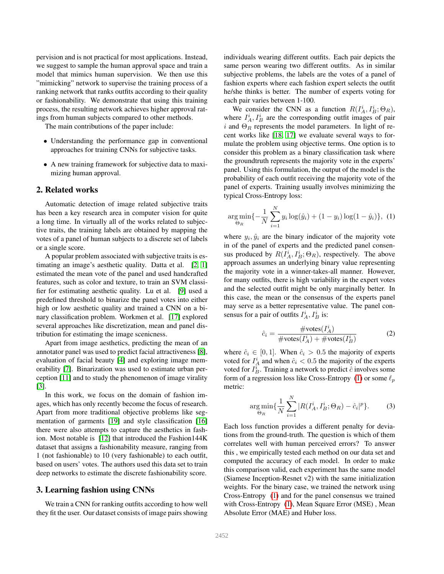pervision and is not practical for most applications. Instead, we suggest to sample the human approval space and train a model that mimics human supervision. We then use this "mimicking" network to supervise the training process of a ranking network that ranks outfits according to their quality or fashionability. We demonstrate that using this training process, the resulting network achieves higher approval ratings from human subjects compared to other methods.

The main contributions of the paper include:

- Understanding the performance gap in conventional approaches for training CNNs for subjective tasks.
- A new training framework for subjective data to maximizing human approval.

### 2. Related works

Automatic detection of image related subjective traits has been a key research area in computer vision for quite a long time. In virtually all of the works related to subjective traits, the training labels are obtained by mapping the votes of a panel of human subjects to a discrete set of labels or a single score.

A popular problem associated with subjective traits is estimating an image's aesthetic quality. Datta et al. [\[2,](#page-5-1) [1\]](#page-5-0) estimated the mean vote of the panel and used handcrafted features, such as color and texture, to train an SVM classifier for estimating aesthetic quality. Lu et al. [\[9\]](#page-6-3) used a predefined threshold to binarize the panel votes into either high or low aesthetic quality and trained a CNN on a binary classification problem. Workmen et al. [\[17\]](#page-6-0) explored several approaches like discretization, mean and panel distribution for estimating the image scenicness.

Apart from image aesthetics, predicting the mean of an annotator panel was used to predict facial attractiveness [\[8\]](#page-5-2), evaluation of facial beauty [\[4\]](#page-5-3) and exploring image memorability [\[7\]](#page-5-4). Binarization was used to estimate urban perception [\[11\]](#page-6-4) and to study the phenomenon of image virality [\[3\]](#page-5-5).

In this work, we focus on the domain of fashion images, which has only recently become the focus of research. Apart from more traditional objective problems like segmentation of garments [\[19\]](#page-6-5) and style classification [\[16\]](#page-6-6) there were also attempts to capture the aesthetics in fashion. Most notable is [\[12\]](#page-6-1) that introduced the Fashion144K dataset that assigns a fashionability measure, ranging from 1 (not fashionable) to 10 (very fashionable) to each outfit, based on users' votes. The authors used this data set to train deep networks to estimate the discrete fashionability score.

### <span id="page-1-1"></span>3. Learning fashion using CNNs

We train a CNN for ranking outfits according to how well they fit the user. Our dataset consists of image pairs showing individuals wearing different outfits. Each pair depicts the same person wearing two different outfits. As in similar subjective problems, the labels are the votes of a panel of fashion experts where each fashion expert selects the outfit he/she thinks is better. The number of experts voting for each pair varies between 1-100.

We consider the CNN as a function  $R(I_A^i, I_B^i; \Theta_R)$ , where  $I_A^i, I_B^i$  are the corresponding outfit images of pair i and  $\Theta_R$  represents the model parameters. In light of recent works like [\[18,](#page-6-7) [17\]](#page-6-0) we evaluate several ways to formulate the problem using objective terms. One option is to consider this problem as a binary classification task where the groundtruth represents the majority vote in the experts' panel. Using this formulation, the output of the model is the probability of each outfit receiving the majority vote of the panel of experts. Training usually involves minimizing the typical Cross-Entropy loss:

<span id="page-1-0"></span>
$$
\underset{\Theta_R}{\arg\min} \{-\frac{1}{N} \sum_{i=1}^{N} y_i \log(\hat{y}_i) + (1 - y_i) \log(1 - \hat{y}_i) \}, (1)
$$

where  $y_i$ ,  $\hat{y}_i$  are the binary indicator of the majority vote in of the panel of experts and the predicted panel consensus produced by  $R(I_A^i, I_B^i; \Theta_R)$ , respectively. The above approach assumes an underlying binary value representing the majority vote in a winner-takes-all manner. However, for many outfits, there is high variability in the expert votes and the selected outfit might be only marginally better. In this case, the mean or the consensus of the experts panel may serve as a better representative value. The panel consensus for a pair of outfits  $I_A^i$ ,  $I_B^i$  is:

$$
\hat{c}_i = \frac{\text{\#votes}(I_A^i)}{\text{\#votes}(I_A^i) + \text{\#votes}(I_B^i)}
$$
(2)

where  $\hat{c}_i \in [0, 1]$ . When  $\hat{c}_i > 0.5$  the majority of experts voted for  $I_A^i$  and when  $\hat{c}_i < 0.5$  the majority of the experts voted for  $I^i_B$ . Training a network to predict  $\hat{c}$  involves some form of a regression loss like Cross-Entropy [\(1\)](#page-1-0) or some  $\ell_p$ metric:

$$
\underset{\Theta_R}{\arg\min} \{ \frac{1}{N} \sum_{i=1}^{N} |R(I_A^i, I_B^i; \Theta_R) - \hat{c}_i|^p \}. \tag{3}
$$

Each loss function provides a different penalty for deviations from the ground-truth. The question is which of them correlates well with human perceived errors? To answer this , we empirically tested each method on our data set and computed the accuracy of each model. In order to make this comparison valid, each experiment has the same model (Siamese Inception-Resnet v2) with the same initialization weights. For the binary case, we trained the network using Cross-Entropy [\(1\)](#page-1-0) and for the panel consensus we trained with Cross-Entropy [\(1\)](#page-1-0), Mean Square Error (MSE) , Mean Absolute Error (MAE) and Huber loss.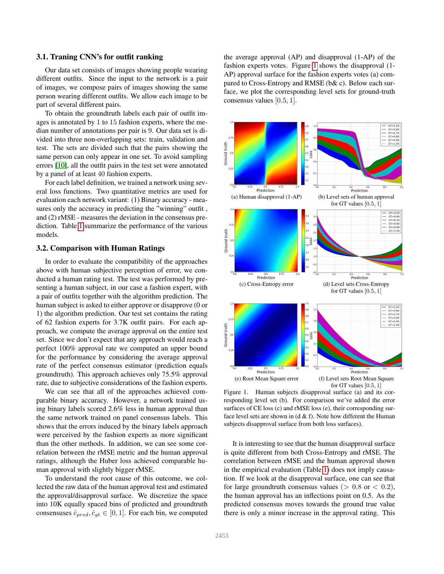### <span id="page-2-2"></span>3.1. Traning CNN's for outfit ranking

Our data set consists of images showing people wearing different outfits. Since the input to the network is a pair of images, we compose pairs of images showing the same person wearing different outfits. We allow each image to be part of several different pairs.

To obtain the groundtruth labels each pair of outfit images is annotated by 1 to 15 fashion experts, where the median number of annotations per pair is 9. Our data set is divided into three non-overlapping sets: train, validation and test. The sets are divided such that the pairs showing the same person can only appear in one set. To avoid sampling errors [\[10\]](#page-6-8), all the outfit pairs in the test set were annotated by a panel of at least 40 fashion experts.

For each label definition, we trained a network using several loss functions. Two quantitative metrics are used for evaluation each network variant: (1) Binary accuracy - measures only the accuracy in predicting the "winning" outfit , and (2) rMSE - measures the deviation in the consensus prediction. Table [1](#page-3-0) summarize the performance of the various models.

#### <span id="page-2-1"></span>3.2. Comparison with Human Ratings

In order to evaluate the compatibility of the approaches above with human subjective perception of error, we conducted a human rating test. The test was performed by presenting a human subject, in our case a fashion expert, with a pair of outfits together with the algorithm prediction. The human subject is asked to either approve or disapprove (0 or 1) the algorithm prediction. Our test set contains the rating of 62 fashion experts for 3.7K outfit pairs. For each approach, we compute the average approval on the entire test set. Since we don't expect that any approach would reach a perfect 100% approval rate we computed an upper bound for the performance by considering the average approval rate of the perfect consensus estimator (prediction equals groundtruth). This approach achieves only 75.5% approval rate, due to subjective considerations of the fashion experts.

We can see that all of the approaches achieved comparable binary accuracy. However, a network trained using binary labels scored 2.6% less in human approval than the same network trained on panel consensus labels. This shows that the errors induced by the binary labels approach were perceived by the fashion experts as more significant than the other methods. In addition, we can see some correlation between the rMSE metric and the human approval ratings, although the Huber loss achieved comparable human approval with slightly bigger rMSE.

To understand the root cause of this outcome, we collected the raw data of the human approval test and estimated the approval/disapproval surface. We discretize the space into 10K equally spaced bins of predicted and groundtruth consensuses  $\hat{c}_{pred}$ ,  $\hat{c}_{gt} \in [0, 1]$ . For each bin, we computed

the average approval (AP) and disapproval (1-AP) of the fashion experts votes. Figure [1](#page-2-0) shows the disapproval (1- AP) approval surface for the fashion experts votes (a) compared to Cross-Entropy and RMSE (b& c). Below each surface, we plot the corresponding level sets for ground-truth consensus values [0.5, 1].



<span id="page-2-0"></span>Figure 1. Human subjects disapproval surface (a) and its corresponding level set (b). For comparison we've added the error surfaces of CE loss (c) and rMSE loss (e), their corresponding surface level sets are shown in  $(d & f)$ . Note how different the Human subjects disapproval surface from both loss surfaces).

It is interesting to see that the human disapproval surface is quite different from both Cross-Entropy and rMSE. The correlation between rMSE and the human approval shown in the empirical evaluation (Table [1\)](#page-3-0) does not imply causation. If we look at the disapproval surface, one can see that for large groundtruth consensus values ( $> 0.8$  or  $< 0.2$ ), the human approval has an inflections point on 0.5. As the predicted consensus moves towards the ground true value there is only a minor increase in the approval rating. This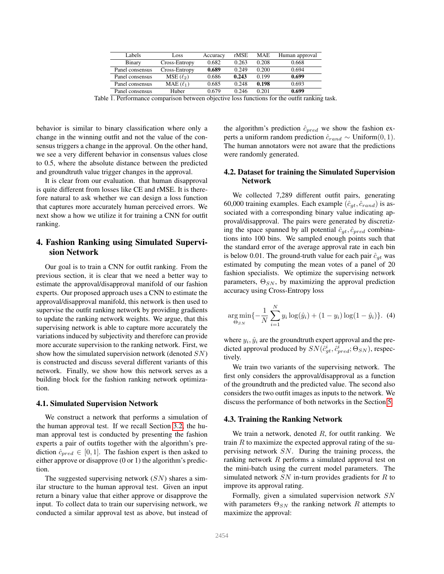| Labels          | Loss          | Accuracy | rMSE  | <b>MAE</b> | Human approval |
|-----------------|---------------|----------|-------|------------|----------------|
| Binary          | Cross-Entropy | 0.682    | 0.263 | 0.208      | 0.668          |
| Panel consensus | Cross-Entropy | 0.689    | 0.249 | 0.200      | 0.694          |
| Panel consensus | $MSE(\ell_2)$ | 0.686    | 0.243 | 0.199      | 0.699          |
| Panel consensus | $MAE(\ell_1)$ | 0.685    | 0.248 | 0.198      | 0.693          |
| Panel consensus | Huber         | 0.679    | 0.246 | 0.201      | 0.699          |

<span id="page-3-0"></span>Table 1. Performance comparison between objective loss functions for the outfit ranking task.

behavior is similar to binary classification where only a change in the winning outfit and not the value of the consensus triggers a change in the approval. On the other hand, we see a very different behavior in consensus values close to 0.5, where the absolute distance between the predicted and groundtruth value trigger changes in the approval.

It is clear from our evaluation. that human disapproval is quite different from losses like CE and rMSE. It is therefore natural to ask whether we can design a loss function that captures more accurately human perceived errors. We next show a how we utilize it for training a CNN for outfit ranking.

# 4. Fashion Ranking using Simulated Supervision Network

Our goal is to train a CNN for outfit ranking. From the previous section, it is clear that we need a better way to estimate the approval/disapproval manifold of our fashion experts. Our proposed approach uses a CNN to estimate the approval/disapproval manifold, this network is then used to supervise the outfit ranking network by providing gradients to update the ranking network weights. We argue, that this supervising network is able to capture more accurately the variations induced by subjectivity and therefore can provide more accurate supervision to the ranking network. First, we show how the simulated supervision network (denoted SN) is constructed and discuss several different variants of this network. Finally, we show how this network serves as a building block for the fashion ranking network optimization.

#### 4.1. Simulated Supervision Network

We construct a network that performs a simulation of the human approval test. If we recall Section [3.2,](#page-2-1) the human approval test is conducted by presenting the fashion experts a pair of outfits together with the algorithm's prediction  $\hat{c}_{pred} \in [0, 1]$ . The fashion expert is then asked to either approve or disapprove (0 or 1) the algorithm's prediction.

The suggested supervising network  $(SN)$  shares a similar structure to the human approval test. Given an input return a binary value that either approve or disapprove the input. To collect data to train our supervising network, we conducted a similar approval test as above, but instead of the algorithm's prediction  $\hat{c}_{pred}$  we show the fashion experts a uniform random prediction  $\hat{c}_{rand} \sim \text{Uniform}(0, 1)$ . The human annotators were not aware that the predictions were randomly generated.

### <span id="page-3-1"></span>4.2. Dataset for training the Simulated Supervision Network

We collected 7,289 different outfit pairs, generating 60,000 training examples. Each example  $(\hat{c}_{at}, \hat{c}_{rand})$  is associated with a corresponding binary value indicating approval/disapproval. The pairs were generated by discretizing the space spanned by all potential  $\hat{c}_{gt}$ ,  $\hat{c}_{pred}$  combinations into 100 bins. We sampled enough points such that the standard error of the average approval rate in each bin is below 0.01. The ground-truth value for each pair  $\hat{c}_{at}$  was estimated by computing the mean votes of a panel of 20 fashion specialists. We optimize the supervising network parameters,  $\Theta_{SN}$ , by maximizing the approval prediction accuracy using Cross-Entropy loss

$$
\underset{\Theta_{SN}}{\arg\min} \{-\frac{1}{N} \sum_{i=1}^{N} y_i \log(\hat{y}_i) + (1 - y_i) \log(1 - \hat{y}_i)\}.
$$
 (4)

where  $y_i$ ,  $\hat{y}_i$  are the groundtruth expert approval and the predicted approval produced by  $SN(\hat{c}_{gt}^i, \hat{c}_{pred}^i; \Theta_{SN})$ , respectively.

We train two variants of the supervising network. The first only considers the approval/disapproval as a function of the groundtruth and the predicted value. The second also considers the two outfit images as inputs to the network. We discuss the performance of both networks in the Section [5.](#page-4-0)

#### 4.3. Training the Ranking Network

We train a network, denoted  $R$ , for outfit ranking. We train  $R$  to maximize the expected approval rating of the supervising network SN. During the training process, the ranking network R performs a simulated approval test on the mini-batch using the current model parameters. The simulated network  $SN$  in-turn provides gradients for  $R$  to improve its approval rating.

Formally, given a simulated supervision network SN with parameters  $\Theta_{SN}$  the ranking network R attempts to maximize the approval: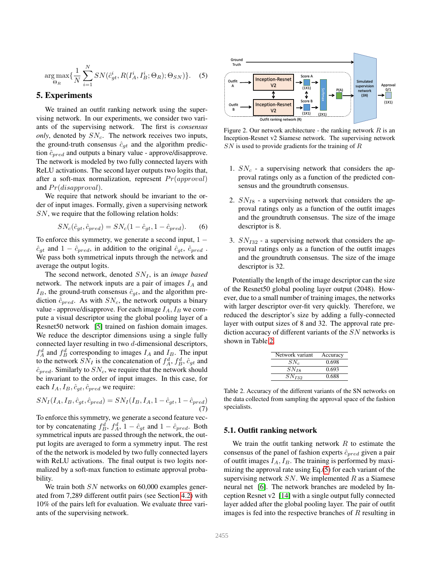<span id="page-4-2"></span>
$$
\underset{\Theta_R}{\arg\max} \{ \frac{1}{N} \sum_{i=1}^N SN(\hat{c}_{gt}^i, R(I_A^i, I_B^i; \Theta_R); \Theta_{SN}) \}. \quad (5)
$$

# <span id="page-4-0"></span>5. Experiments

We trained an outfit ranking network using the supervising network. In our experiments, we consider two variants of the supervising network. The first is *consensus only*, denoted by  $SN_c$ . The network receives two inputs, the ground-truth consensus  $\hat{c}_{qt}$  and the algorithm prediction  $\hat{c}_{pred}$  and outputs a binary value - approve/disapprove. The network is modeled by two fully connected layers with ReLU activations. The second layer outputs two logits that, after a soft-max normalization, represent  $Pr(approd)$ and  $Pr(disapprod)$ .

We require that network should be invariant to the order of input images. Formally, given a supervising network SN, we require that the following relation holds:

$$
SN_c(\hat{c}_{gt}, \hat{c}_{pred}) = SN_c(1 - \hat{c}_{gt}, 1 - \hat{c}_{pred}).
$$
 (6)

To enforce this symmetry, we generate a second input,  $1 \hat{c}_{gt}$  and  $1 - \hat{c}_{pred}$ , in addition to the original  $\hat{c}_{gt}$ ,  $\hat{c}_{pred}$ . We pass both symmetrical inputs through the network and average the output logits.

The second network, denoted  $SN_I$ , is an *image based* network. The network inputs are a pair of images  $I_A$  and  $I_B$ , the ground-truth consensus  $\hat{c}_{at}$ , and the algorithm prediction  $\hat{c}_{pred}$ . As with  $SN_c$ , the network outputs a binary value - approve/disapprove. For each image  $I_A$ ,  $I_B$  we compute a visual descriptor using the global pooling layer of a Resnet50 network [\[5\]](#page-5-6) trained on fashion domain images. We reduce the descriptor dimensions using a single fully connected layer resulting in two d-dimensional descriptors,  $f_A^d$  and  $f_B^d$  corresponding to images  $I_A$  and  $I_B$ . The input to the network  $SN_I$  is the concatenation of  $f_A^d, f_B^d, \hat{c}_{gt}$  and  $\hat{c}_{pred}$ . Similarly to  $SN_c$ , we require that the network should be invariant to the order of input images. In this case, for each  $I_A$ ,  $I_B$ ,  $\hat{c}_{qt}$ ,  $\hat{c}_{pred}$  we require:

$$
SN_I(I_A, I_B, \hat{c}_{gt}, \hat{c}_{pred}) = SN_I(I_B, I_A, 1 - \hat{c}_{gt}, 1 - \hat{c}_{pred})
$$
  
(7)

To enforce this symmetry, we generate a second feature vector by concatenating  $f_B^d$ ,  $f_A^d$ ,  $1 - \hat{c}_{gt}$  and  $1 - \hat{c}_{pred}$ . Both symmetrical inputs are passed through the network, the output logits are averaged to form a symmetry input. The rest of the the network is modeled by two fully connected layers with ReLU activations. The final output is two logits normalized by a soft-max function to estimate approval probability.

We train both  $SN$  networks on 60,000 examples generated from 7,289 different outfit pairs (see Section [4.2\)](#page-3-1) with 10% of the pairs left for evaluation. We evaluate three variants of the supervising network.



Figure 2. Our network architecture - the ranking network  $R$  is an Inception-Resnet v2 Siamese network. The supervising network  $SN$  is used to provide gradients for the training of  $R$ 

- 1.  $SN_c$  a supervising network that considers the approval ratings only as a function of the predicted consensus and the groundtruth consensus.
- 2.  $SN_{I8}$  a supervising network that considers the approval ratings only as a function of the outfit images and the groundtruth consensus. The size of the image descriptor is 8.
- 3.  $SN_{I32}$  a supervising network that considers the approval ratings only as a function of the outfit images and the groundtruth consensus. The size of the image descriptor is 32.

Potentially the length of the image descriptor can the size of the Resnet50 global pooling layer output (2048). However, due to a small number of training images, the networks with larger descriptor over-fit very quickly. Therefore, we reduced the descriptor's size by adding a fully-connected layer with output sizes of 8 and 32. The approval rate prediction accuracy of different variants of the SN networks is shown in Table [2.](#page-4-1)

| Network variant | Accuracy |
|-----------------|----------|
| $SN_c$          | 0.698    |
| $SN_{I8}$       | 0.693    |
| $SN_{I32}$      | 0.688    |
|                 |          |

<span id="page-4-1"></span>Table 2. Accuracy of the different variants of the SN networks on the data collected from sampling the approval space of the fashion specialists.

# 5.1. Outfit ranking network

We train the outfit tanking network  $R$  to estimate the consensus of the panel of fashion experts  $\hat{c}_{pred}$  given a pair of outfit images  $I_A$ ,  $I_B$ . The training is performed by maximizing the approval rate using Eq.[\(5\)](#page-4-2) for each variant of the supervising network  $SN$ . We implemented  $R$  as a Siamese neural net [\[6\]](#page-5-7). The network branches are modeled by Inception Resnet v2 [\[14\]](#page-6-9) with a single output fully connected layer added after the global pooling layer. The pair of outfit images is fed into the respective branches of  $R$  resulting in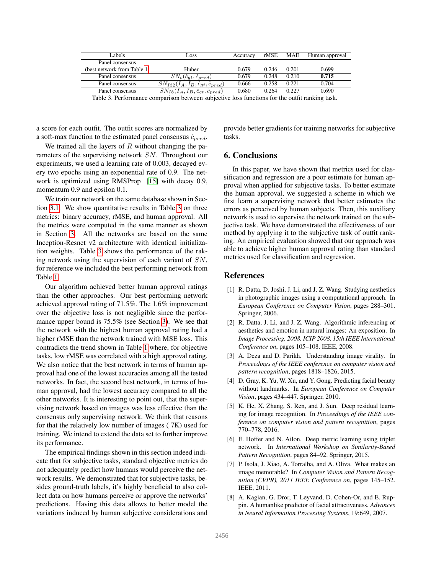<span id="page-5-8"></span>

| Labels                                                                                         | Loss                                                      | Accuracy | rMSE  | MAE   | Human approval |  |  |
|------------------------------------------------------------------------------------------------|-----------------------------------------------------------|----------|-------|-------|----------------|--|--|
| Panel consensus                                                                                |                                                           |          |       |       |                |  |  |
| (best network from Table 1)                                                                    | Huber                                                     | 0.679    | 0.246 | 0.201 | 0.699          |  |  |
| Panel consensus                                                                                | $SN_c(\hat{c}_{qt}, \hat{c}_{pred})$                      | 0.679    | 0.248 | 0.210 | 0.715          |  |  |
| Panel consensus                                                                                | $SN_{I32}(I_A, I_B, \hat{c}_{gt}, \hat{c}_{pred})$        | 0.666    | 0.258 | 0.221 | 0.704          |  |  |
| Panel consensus                                                                                | $\overline{SN_{I8}(I_A,I_B},\hat{c}_{gt},\hat{c}_{pred})$ | 0.680    | 0.264 | 0.227 | 0.690          |  |  |
| Table 3. Performance comparison between subjective loss functions for the outfit ranking task. |                                                           |          |       |       |                |  |  |

a score for each outfit. The outfit scores are normalized by a soft-max function to the estimated panel consensus  $\hat{c}_{pred}$ .

We trained all the layers of  $R$  without changing the parameters of the supervising network SN. Throughout our experiments, we used a learning rate of 0.003, decayed every two epochs using an exponential rate of 0.9. The network is optimized using RMSProp [\[15\]](#page-6-10) with decay 0.9, momentum 0.9 and epsilon 0.1.

We train our network on the same database shown in Section [3.1.](#page-2-2) We show quantitative results in Table [3](#page-5-8) on three metrics: binary accuracy, rMSE, and human approval. All the metrics were computed in the same manner as shown in Section [3.](#page-1-1) All the networks are based on the same Inception-Resnet v2 architecture with identical initialization weights. Table [3](#page-5-8) shows the performance of the raking network using the supervision of each variant of SN, for reference we included the best performing network from Table [1.](#page-3-0)

Our algorithm achieved better human approval ratings than the other approaches. Our best performing network achieved approval rating of 71.5%. The 1.6% improvement over the objective loss is not negligible since the performance upper bound is 75.5% (see Section [3\)](#page-1-1). We see that the network with the highest human approval rating had a higher rMSE than the network trained with MSE loss. This contradicts the trend shown in Table [1](#page-3-0) where, for objective tasks, low rMSE was correlated with a high approval rating. We also notice that the best network in terms of human approval had one of the lowest accuracies among all the tested networks. In fact, the second best network, in terms of human approval, had the lowest accuracy compared to all the other networks. It is interesting to point out, that the supervising network based on images was less effective than the consensus only supervising network. We think that reasons for that the relatively low number of images ( 7K) used for training. We intend to extend the data set to further improve its performance.

The empirical findings shown in this section indeed indicate that for subjective tasks, standard objective metrics do not adequately predict how humans would perceive the network results. We demonstrated that for subjective tasks, besides ground-truth labels, it's highly beneficial to also collect data on how humans perceive or approve the networks' predictions. Having this data allows to better model the variations induced by human subjective considerations and

provide better gradients for training networks for subjective tasks.

# 6. Conclusions

In this paper, we have shown that metrics used for classification and regression are a poor estimate for human approval when applied for subjective tasks. To better estimate the human approval, we suggested a scheme in which we first learn a supervising network that better estimates the errors as perceived by human subjects. Then, this auxiliary network is used to supervise the network trained on the subjective task. We have demonstrated the effectiveness of our method by applying it to the subjective task of outfit ranking. An empirical evaluation showed that our approach was able to achieve higher human approval rating than standard metrics used for classification and regression.

### References

- <span id="page-5-0"></span>[1] R. Datta, D. Joshi, J. Li, and J. Z. Wang. Studying aesthetics in photographic images using a computational approach. In *European Conference on Computer Vision*, pages 288–301. Springer, 2006.
- <span id="page-5-1"></span>[2] R. Datta, J. Li, and J. Z. Wang. Algorithmic inferencing of aesthetics and emotion in natural images: An exposition. In *Image Processing, 2008. ICIP 2008. 15th IEEE International Conference on*, pages 105–108. IEEE, 2008.
- <span id="page-5-5"></span>[3] A. Deza and D. Parikh. Understanding image virality. In *Proceedings of the IEEE conference on computer vision and pattern recognition*, pages 1818–1826, 2015.
- <span id="page-5-3"></span>[4] D. Gray, K. Yu, W. Xu, and Y. Gong. Predicting facial beauty without landmarks. In *European Conference on Computer Vision*, pages 434–447. Springer, 2010.
- <span id="page-5-6"></span>[5] K. He, X. Zhang, S. Ren, and J. Sun. Deep residual learning for image recognition. In *Proceedings of the IEEE conference on computer vision and pattern recognition*, pages 770–778, 2016.
- <span id="page-5-7"></span>[6] E. Hoffer and N. Ailon. Deep metric learning using triplet network. In *International Workshop on Similarity-Based Pattern Recognition*, pages 84–92. Springer, 2015.
- <span id="page-5-4"></span>[7] P. Isola, J. Xiao, A. Torralba, and A. Oliva. What makes an image memorable? In *Computer Vision and Pattern Recognition (CVPR), 2011 IEEE Conference on*, pages 145–152. IEEE, 2011.
- <span id="page-5-2"></span>[8] A. Kagian, G. Dror, T. Leyvand, D. Cohen-Or, and E. Ruppin. A humanlike predictor of facial attractiveness. *Advances in Neural Information Processing Systems*, 19:649, 2007.